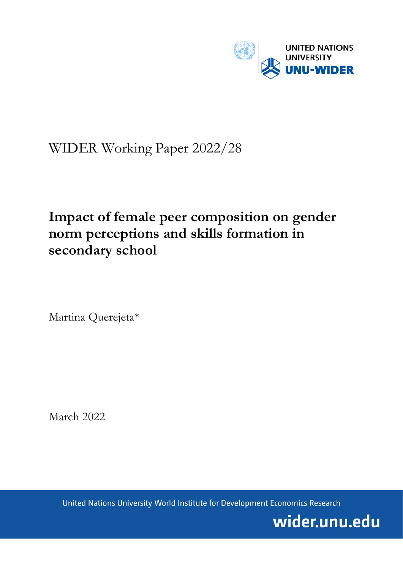

# WIDER Working Paper 2022/28

# **Impact of female peer composition on gender norm perceptions and skills formation in secondary school**

Martina Querejeta\*

March 2022

United Nations University World Institute for Development Economics Research

wider.unu.edu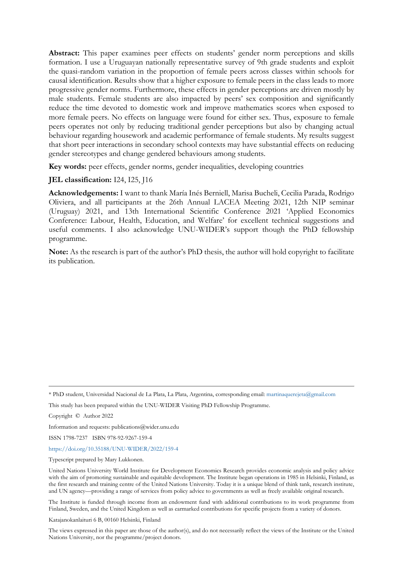**Abstract:** This paper examines peer effects on students' gender norm perceptions and skills formation. I use a Uruguayan nationally representative survey of 9th grade students and exploit the quasi-random variation in the proportion of female peers across classes within schools for causal identification. Results show that a higher exposure to female peers in the class leads to more progressive gender norms. Furthermore, these effects in gender perceptions are driven mostly by male students. Female students are also impacted by peers' sex composition and significantly reduce the time devoted to domestic work and improve mathematics scores when exposed to more female peers. No effects on language were found for either sex. Thus, exposure to female peers operates not only by reducing traditional gender perceptions but also by changing actual behaviour regarding housework and academic performance of female students. My results suggest that short peer interactions in secondary school contexts may have substantial effects on reducing gender stereotypes and change gendered behaviours among students.

**Key words:** peer effects, gender norms, gender inequalities, developing countries

## **JEL classification:** I24, I25, J16

**Acknowledgements:** I want to thank María Inés Berniell, Marisa Bucheli, Cecilia Parada, Rodrigo Oliviera, and all participants at the 26th Annual LACEA Meeting 2021, 12th NIP seminar (Uruguay) 2021, and 13th International Scientific Conference 2021 'Applied Economics Conference: Labour, Health, Education, and Welfare' for excellent technical suggestions and useful comments. I also acknowledge UNU-WIDER's support though the PhD fellowship programme.

**Note:** As the research is part of the author's PhD thesis, the author will hold copyright to facilitate its publication.

Information and requests: publications@wider.unu.edu

ISSN 1798-7237 ISBN 978-92-9267-159-4

#### <https://doi.org/10.35188/UNU-WIDER/2022/159-4>

Typescript prepared by Mary Lukkonen.

The Institute is funded through income from an endowment fund with additional contributions to its work programme from Finland, Sweden, and the United Kingdom as well as earmarked contributions for specific projects from a variety of donors.

Katajanokanlaituri 6 B, 00160 Helsinki, Finland

The views expressed in this paper are those of the author(s), and do not necessarily reflect the views of the Institute or the United Nations University, nor the programme/project donors.

<sup>\*</sup> PhD student, Universidad Nacional de La Plata, La Plata, Argentina, corresponding email: [martinaquerejeta@gmail.com](mailto:martinaquerejeta@gmail.com)

This study has been prepared within the UNU-WIDER Visiting PhD Fellowship Programme.

Copyright © Author 2022

United Nations University World Institute for Development Economics Research provides economic analysis and policy advice with the aim of promoting sustainable and equitable development. The Institute began operations in 1985 in Helsinki, Finland, as the first research and training centre of the United Nations University. Today it is a unique blend of think tank, research institute, and UN agency—providing a range of services from policy advice to governments as well as freely available original research.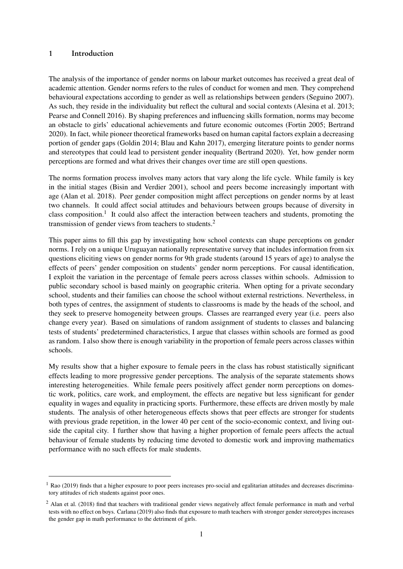### 1 Introduction

The analysis of the importance of gender norms on labour market outcomes has received a great deal of academic attention. Gender norms refers to the rules of conduct for women and men. They comprehend behavioural expectations according to gender as well as relationships between genders [\(Seguino](#page-15-0) [2007\)](#page-15-0). As such, they reside in the individuality but reflect the cultural and social contexts [\(Alesina et al.](#page-13-0) [2013;](#page-13-0) [Pearse and Connell](#page-15-1) [2016\)](#page-15-1). By shaping preferences and influencing skills formation, norms may become an obstacle to girls' educational achievements and future economic outcomes [\(Fortin](#page-14-0) [2005;](#page-14-0) [Bertrand](#page-13-1) [2020\)](#page-13-1). In fact, while pioneer theoretical frameworks based on human capital factors explain a decreasing portion of gender gaps [\(Goldin](#page-14-1) [2014;](#page-14-1) [Blau and Kahn](#page-14-2) [2017\)](#page-14-2), emerging literature points to gender norms and stereotypes that could lead to persistent gender inequality [\(Bertrand](#page-13-1) [2020\)](#page-13-1). Yet, how gender norm perceptions are formed and what drives their changes over time are still open questions.

The norms formation process involves many actors that vary along the life cycle. While family is key in the initial stages [\(Bisin and Verdier](#page-13-2) [2001\)](#page-13-2), school and peers become increasingly important with age [\(Alan et al.](#page-13-3) [2018\)](#page-13-3). Peer gender composition might affect perceptions on gender norms by at least two channels. It could affect social attitudes and behaviours between groups because of diversity in class composition.<sup>[1](#page--1-0)</sup> It could also affect the interaction between teachers and students, promoting the transmission of gender views from teachers to students.<sup>[2](#page--1-0)</sup>

This paper aims to fill this gap by investigating how school contexts can shape perceptions on gender norms. I rely on a unique Uruguayan nationally representative survey that includes information from six questions eliciting views on gender norms for 9th grade students (around 15 years of age) to analyse the effects of peers' gender composition on students' gender norm perceptions. For causal identification, I exploit the variation in the percentage of female peers across classes within schools. Admission to public secondary school is based mainly on geographic criteria. When opting for a private secondary school, students and their families can choose the school without external restrictions. Nevertheless, in both types of centres, the assignment of students to classrooms is made by the heads of the school, and they seek to preserve homogeneity between groups. Classes are rearranged every year (i.e. peers also change every year). Based on simulations of random assignment of students to classes and balancing tests of students' predetermined characteristics, I argue that classes within schools are formed as good as random. I also show there is enough variability in the proportion of female peers across classes within schools.

My results show that a higher exposure to female peers in the class has robust statistically significant effects leading to more progressive gender perceptions. The analysis of the separate statements shows interesting heterogeneities. While female peers positively affect gender norm perceptions on domestic work, politics, care work, and employment, the effects are negative but less significant for gender equality in wages and equality in practicing sports. Furthermore, these effects are driven mostly by male students. The analysis of other heterogeneous effects shows that peer effects are stronger for students with previous grade repetition, in the lower 40 per cent of the socio-economic context, and living outside the capital city. I further show that having a higher proportion of female peers affects the actual behaviour of female students by reducing time devoted to domestic work and improving mathematics performance with no such effects for male students.

 $1$  [Rao](#page-15-2) [\(2019\)](#page-15-2) finds that a higher exposure to poor peers increases pro-social and egalitarian attitudes and decreases discriminatory attitudes of rich students against poor ones.

<sup>&</sup>lt;sup>2</sup> [Alan et al.](#page-13-3) [\(2018\)](#page-13-3) find that teachers with traditional gender views negatively affect female performance in math and verbal tests with no effect on boys. [Carlana](#page-14-3) [\(2019\)](#page-14-3) also finds that exposure to math teachers with stronger gender stereotypes increases the gender gap in math performance to the detriment of girls.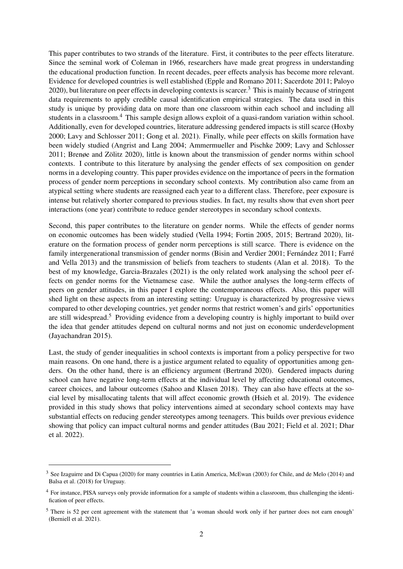This paper contributes to two strands of the literature. First, it contributes to the peer effects literature. Since the seminal work of Coleman in 1966, researchers have made great progress in understanding the educational production function. In recent decades, peer effects analysis has become more relevant. Evidence for developed countries is well established [\(Epple and Romano](#page-14-4) [2011;](#page-14-4) [Sacerdote](#page-15-3) [2011;](#page-15-3) [Paloyo](#page-14-5) [2020\)](#page-14-5), but literature on peer effects in developing contexts is scarcer.[3](#page--1-0) This is mainly because of stringent data requirements to apply credible causal identification empirical strategies. The data used in this study is unique by providing data on more than one classroom within each school and including all students in a classroom.<sup>[4](#page--1-0)</sup> This sample design allows exploit of a quasi-random variation within school. Additionally, even for developed countries, literature addressing gendered impacts is still scarce [\(Hoxby](#page-14-6) [2000;](#page-14-6) [Lavy and Schlosser](#page-14-7) [2011;](#page-14-7) [Gong et al.](#page-14-8) [2021\)](#page-14-8). Finally, while peer effects on skills formation have been widely studied [\(Angrist and Lang](#page-13-4) [2004;](#page-13-4) [Ammermueller and Pischke](#page-13-5) [2009;](#page-13-5) [Lavy and Schlosser](#page-14-7) [2011;](#page-14-7) [Brenøe and Zölitz](#page-14-9) [2020\)](#page-14-9), little is known about the transmission of gender norms within school contexts. I contribute to this literature by analysing the gender effects of sex composition on gender norms in a developing country. This paper provides evidence on the importance of peers in the formation process of gender norm perceptions in secondary school contexts. My contribution also came from an atypical setting where students are reassigned each year to a different class. Therefore, peer exposure is intense but relatively shorter compared to previous studies. In fact, my results show that even short peer interactions (one year) contribute to reduce gender stereotypes in secondary school contexts.

Second, this paper contributes to the literature on gender norms. While the effects of gender norms on economic outcomes has been widely studied [\(Vella](#page-15-4) [1994;](#page-15-4) [Fortin](#page-14-0) [2005,](#page-14-0) [2015;](#page-14-10) [Bertrand](#page-13-1) [2020\)](#page-13-1), literature on the formation process of gender norm perceptions is still scarce. There is evidence on the family intergenerational transmission of gender norms [\(Bisin and Verdier](#page-13-2) [2001;](#page-13-2) [Fernández](#page-14-11) [2011;](#page-14-11) [Farré](#page-14-12) [and Vella](#page-14-12) [2013\)](#page-14-12) and the transmission of beliefs from teachers to students [\(Alan et al.](#page-13-3) [2018\)](#page-13-3). To the best of my knowledge, [Garcia-Brazales](#page-14-13) [\(2021\)](#page-14-13) is the only related work analysing the school peer effects on gender norms for the Vietnamese case. While the author analyses the long-term effects of peers on gender attitudes, in this paper I explore the contemporaneous effects. Also, this paper will shed light on these aspects from an interesting setting: Uruguay is characterized by progressive views compared to other developing countries, yet gender norms that restrict women's and girls' opportunities are still widespread.[5](#page--1-0) Providing evidence from a developing country is highly important to build over the idea that gender attitudes depend on cultural norms and not just on economic underdevelopment [\(Jayachandran](#page-14-14) [2015\)](#page-14-14).

Last, the study of gender inequalities in school contexts is important from a policy perspective for two main reasons. On one hand, there is a justice argument related to equality of opportunities among genders. On the other hand, there is an efficiency argument [\(Bertrand](#page-13-1) [2020\)](#page-13-1). Gendered impacts during school can have negative long-term effects at the individual level by affecting educational outcomes, career choices, and labour outcomes [\(Sahoo and Klasen](#page-15-5) [2018\)](#page-15-5). They can also have effects at the social level by misallocating talents that will affect economic growth [\(Hsieh et al.](#page-14-15) [2019\)](#page-14-15). The evidence provided in this study shows that policy interventions aimed at secondary school contexts may have substantial effects on reducing gender stereotypes among teenagers. This builds over previous evidence showing that policy can impact cultural norms and gender attitudes [\(Bau](#page-13-6) [2021;](#page-13-6) [Field et al.](#page-14-16) [2021;](#page-14-16) [Dhar](#page-14-17) [et al.](#page-14-17) [2022\)](#page-14-17).

<sup>&</sup>lt;sup>3</sup> See [Izaguirre and Di Capua](#page-14-18) [\(2020\)](#page-14-18) for many countries in Latin America, [McEwan](#page-14-19) [\(2003\)](#page-14-19) for Chile, and [de Melo](#page-14-20) [\(2014\)](#page-14-20) and [Balsa et al.](#page-13-7) [\(2018\)](#page-13-7) for Uruguay.

<sup>4</sup> For instance, PISA surveys only provide information for a sample of students within a classroom, thus challenging the identification of peer effects.

<sup>&</sup>lt;sup>5</sup> There is 52 per cent agreement with the statement that 'a woman should work only if her partner does not earn enough' [\(Berniell et al.](#page-13-8) [2021\)](#page-13-8).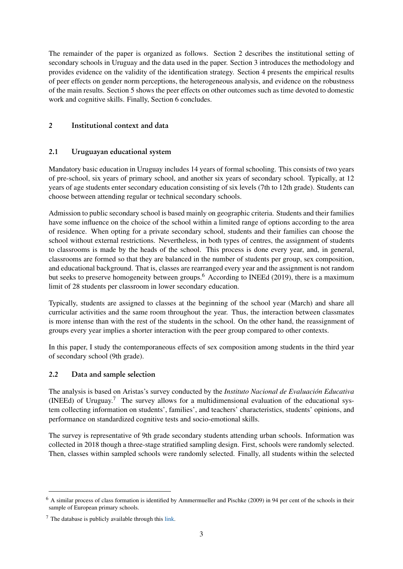The remainder of the paper is organized as follows. Section [2](#page-4-0) describes the institutional setting of secondary schools in Uruguay and the data used in the paper. Section [3](#page-6-0) introduces the methodology and provides evidence on the validity of the identification strategy. Section [4](#page-8-0) presents the empirical results of peer effects on gender norm perceptions, the heterogeneous analysis, and evidence on the robustness of the main results. Section [5](#page-11-0) shows the peer effects on other outcomes such as time devoted to domestic work and cognitive skills. Finally, Section [6](#page-12-0) concludes.

## <span id="page-4-0"></span>2 Institutional context and data

## 2.1 Uruguayan educational system

Mandatory basic education in Uruguay includes 14 years of formal schooling. This consists of two years of pre-school, six years of primary school, and another six years of secondary school. Typically, at 12 years of age students enter secondary education consisting of six levels (7th to 12th grade). Students can choose between attending regular or technical secondary schools.

Admission to public secondary school is based mainly on geographic criteria. Students and their families have some influence on the choice of the school within a limited range of options according to the area of residence. When opting for a private secondary school, students and their families can choose the school without external restrictions. Nevertheless, in both types of centres, the assignment of students to classrooms is made by the heads of the school. This process is done every year, and, in general, classrooms are formed so that they are balanced in the number of students per group, sex composition, and educational background. That is, classes are rearranged every year and the assignment is not random but seeks to preserve homogeneity between groups.<sup>[6](#page--1-0)</sup> According to [INEEd](#page-14-21) [\(2019\)](#page-14-21), there is a maximum limit of 28 students per classroom in lower secondary education.

Typically, students are assigned to classes at the beginning of the school year (March) and share all curricular activities and the same room throughout the year. Thus, the interaction between classmates is more intense than with the rest of the students in the school. On the other hand, the reassignment of groups every year implies a shorter interaction with the peer group compared to other contexts.

In this paper, I study the contemporaneous effects of sex composition among students in the third year of secondary school (9th grade).

## 2.2 Data and sample selection

The analysis is based on Aristas's survey conducted by the *Instituto Nacional de Evaluación Educativa* (INEEd) of Uruguay.<sup>[7](#page--1-0)</sup> The survey allows for a multidimensional evaluation of the educational system collecting information on students', families', and teachers' characteristics, students' opinions, and performance on standardized cognitive tests and socio-emotional skills.

The survey is representative of 9th grade secondary students attending urban schools. Information was collected in 2018 though a three-stage stratified sampling design. First, schools were randomly selected. Then, classes within sampled schools were randomly selected. Finally, all students within the selected

<sup>6</sup> A similar process of class formation is identified by [Ammermueller and Pischke](#page-13-5) [\(2009\)](#page-13-5) in 94 per cent of the schools in their sample of European primary schools.

 $<sup>7</sup>$  The database is publicly available through this [link.](https://www.ineed.edu.uy/nuestro-trabajo/bases-de-datos/444-aristas-2018-tercero-de-educacion-media.html)</sup>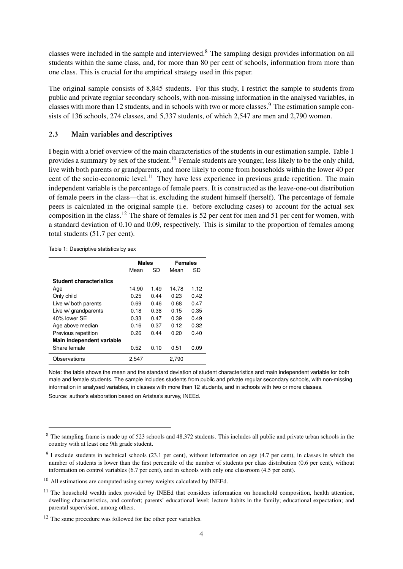classes were included in the sample and interviewed.[8](#page--1-0) The sampling design provides information on all students within the same class, and, for more than 80 per cent of schools, information from more than one class. This is crucial for the empirical strategy used in this paper.

The original sample consists of 8,845 students. For this study, I restrict the sample to students from public and private regular secondary schools, with non-missing information in the analysed variables, in classes with more than 12 students, and in schools with two or more classes.<sup>[9](#page--1-0)</sup> The estimation sample consists of 136 schools, 274 classes, and 5,337 students, of which 2,547 are men and 2,790 women.

#### 2.3 Main variables and descriptives

I begin with a brief overview of the main characteristics of the students in our estimation sample. Table [1](#page-5-0) provides a summary by sex of the student.<sup>[10](#page--1-0)</sup> Female students are younger, less likely to be the only child, live with both parents or grandparents, and more likely to come from households within the lower 40 per cent of the socio-economic level.<sup>[11](#page--1-0)</sup> They have less experience in previous grade repetition. The main independent variable is the percentage of female peers. It is constructed as the leave-one-out distribution of female peers in the class—that is, excluding the student himself (herself). The percentage of female peers is calculated in the original sample (i.e. before excluding cases) to account for the actual sex composition in the class.[12](#page--1-0) The share of females is 52 per cent for men and 51 per cent for women, with a standard deviation of 0.10 and 0.09, respectively. This is similar to the proportion of females among total students (51.7 per cent).

<span id="page-5-0"></span>Table 1: Descriptive statistics by sex

|                                | <b>Males</b> |      | Females |      |
|--------------------------------|--------------|------|---------|------|
|                                | Mean         | SD   | Mean    | SD   |
| <b>Student characteristics</b> |              |      |         |      |
| Age                            | 14.90        | 1.49 | 14.78   | 1.12 |
| Only child                     | 0.25         | 0.44 | 0.23    | 0.42 |
| Live w/ both parents           | 0.69         | 0.46 | 0.68    | 0.47 |
| Live w/ grandparents           | 0.18         | 0.38 | 0.15    | 0.35 |
| 40% lower SE                   | 0.33         | 0.47 | 0.39    | 0.49 |
| Age above median               | 0.16         | 0.37 | 0.12    | 0.32 |
| Previous repetition            | 0.26         | 0.44 | 0.20    | 0.40 |
| Main independent variable      |              |      |         |      |
| Share female                   | 0.52         | 0.10 | 0.51    | 0.09 |
| Observations                   | 2.547        |      | 2.790   |      |

Note: the table shows the mean and the standard deviation of student characteristics and main independent variable for both male and female students. The sample includes students from public and private regular secondary schools, with non-missing information in analysed variables, in classes with more than 12 students, and in schools with two or more classes.

<sup>&</sup>lt;sup>8</sup> The sampling frame is made up of 523 schools and 48,372 students. This includes all public and private urban schools in the country with at least one 9th grade student.

 $9$  I exclude students in technical schools (23.1 per cent), without information on age (4.7 per cent), in classes in which the number of students is lower than the first percentile of the number of students per class distribution (0.6 per cent), without information on control variables (6.7 per cent), and in schools with only one classroom (4.5 per cent).

 $10$  All estimations are computed using survey weights calculated by INEEd.

 $11$  The household wealth index provided by INEEd that considers information on household composition, health attention, dwelling characteristics, and comfort; parents' educational level; lecture habits in the family; educational expectation; and parental supervision, among others.

<sup>&</sup>lt;sup>12</sup> The same procedure was followed for the other peer variables.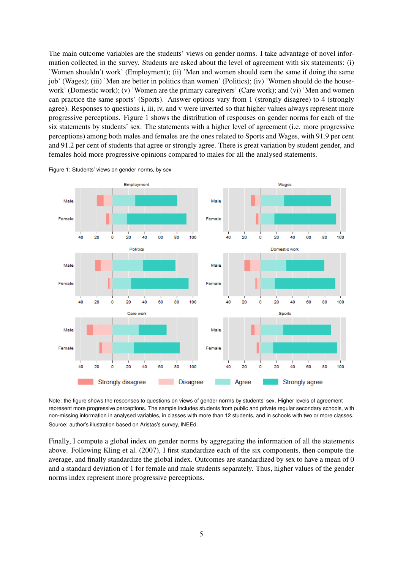The main outcome variables are the students' views on gender norms. I take advantage of novel information collected in the survey. Students are asked about the level of agreement with six statements: (i) 'Women shouldn't work' (Employment); (ii) 'Men and women should earn the same if doing the same job' (Wages); (iii) 'Men are better in politics than women' (Politics); (iv) 'Women should do the housework' (Domestic work); (v) 'Women are the primary caregivers' (Care work); and (vi) 'Men and women can practice the same sports' (Sports). Answer options vary from 1 (strongly disagree) to 4 (strongly agree). Responses to questions i, iii, iv, and v were inverted so that higher values always represent more progressive perceptions. Figure [1](#page-6-1) shows the distribution of responses on gender norms for each of the six statements by students' sex. The statements with a higher level of agreement (i.e. more progressive perceptions) among both males and females are the ones related to Sports and Wages, with 91.9 per cent and 91.2 per cent of students that agree or strongly agree. There is great variation by student gender, and females hold more progressive opinions compared to males for all the analysed statements.



<span id="page-6-1"></span>Figure 1: Students' views on gender norms, by sex

Note: the figure shows the responses to questions on views of gender norms by students' sex. Higher levels of agreement represent more progressive perceptions. The sample includes students from public and private regular secondary schools, with non-missing information in analysed variables, in classes with more than 12 students, and in schools with two or more classes. Source: author's illustration based on Aristas's survey, INEEd.

<span id="page-6-0"></span>Finally, I compute a global index on gender norms by aggregating the information of all the statements above. Following [Kling et al.](#page-14-22) [\(2007\)](#page-14-22), I first standardize each of the six components, then compute the average, and finally standardize the global index. Outcomes are standardized by sex to have a mean of 0 and a standard deviation of 1 for female and male students separately. Thus, higher values of the gender norms index represent more progressive perceptions.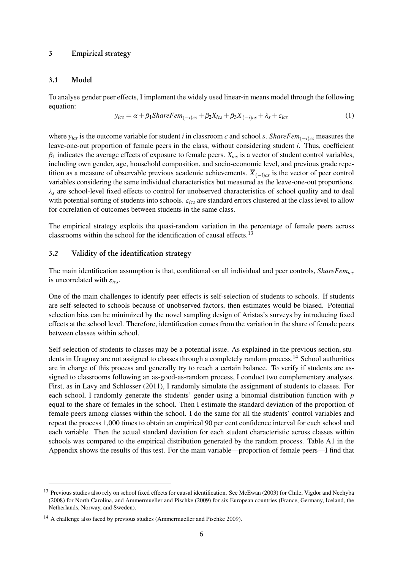### 3 Empirical strategy

#### 3.1 Model

To analyse gender peer effects, I implement the widely used linear-in means model through the following equation:

$$
y_{ics} = \alpha + \beta_1ShareFem_{(-i)cs} + \beta_2X_{ics} + \beta_3\overline{X}_{(-i)cs} + \lambda_s + \varepsilon_{ics}
$$
 (1)

where  $y_{ics}$  is the outcome variable for student *i* in classroom *c* and school *s*. *ShareFem*<sub> $(-i)cs$ </sub> measures the leave-one-out proportion of female peers in the class, without considering student *i*. Thus, coefficient *β*<sup>1</sup> indicates the average effects of exposure to female peers. *Xics* is a vector of student control variables, including own gender, age, household composition, and socio-economic level, and previous grade repetition as a measure of observable previous academic achievements.  $\overline{X}_{(-i)c,s}$  is the vector of peer control variables considering the same individual characteristics but measured as the leave-one-out proportions. *λ<sup>s</sup>* are school-level fixed effects to control for unobserved characteristics of school quality and to deal with potential sorting of students into schools. *εics* are standard errors clustered at the class level to allow for correlation of outcomes between students in the same class.

The empirical strategy exploits the quasi-random variation in the percentage of female peers across classrooms within the school for the identification of causal effects.[13](#page--1-0)

#### 3.2 Validity of the identification strategy

The main identification assumption is that, conditional on all individual and peer controls, *ShareFemics* is uncorrelated with *εics*.

One of the main challenges to identify peer effects is self-selection of students to schools. If students are self-selected to schools because of unobserved factors, then estimates would be biased. Potential selection bias can be minimized by the novel sampling design of Aristas's surveys by introducing fixed effects at the school level. Therefore, identification comes from the variation in the share of female peers between classes within school.

Self-selection of students to classes may be a potential issue. As explained in the previous section, students in Uruguay are not assigned to classes through a completely random process.[14](#page--1-0) School authorities are in charge of this process and generally try to reach a certain balance. To verify if students are assigned to classrooms following an as-good-as-random process, I conduct two complementary analyses. First, as in [Lavy and Schlosser](#page-14-7) [\(2011\)](#page-14-7), I randomly simulate the assignment of students to classes. For each school, I randomly generate the students' gender using a binomial distribution function with *p* equal to the share of females in the school. Then I estimate the standard deviation of the proportion of female peers among classes within the school. I do the same for all the students' control variables and repeat the process 1,000 times to obtain an empirical 90 per cent confidence interval for each school and each variable. Then the actual standard deviation for each student characteristic across classes within schools was compared to the empirical distribution generated by the random process. Table [A1](#page-16-0) in the Appendix shows the results of this test. For the main variable—proportion of female peers—I find that

<sup>&</sup>lt;sup>13</sup> Previous studies also rely on school fixed effects for causal identification. See [McEwan](#page-14-19) [\(2003\)](#page-14-19) for Chile, [Vigdor and Nechyba](#page-15-6) [\(2008\)](#page-15-6) for North Carolina, and [Ammermueller and Pischke](#page-13-5) [\(2009\)](#page-13-5) for six European countries (France, Germany, Iceland, the Netherlands, Norway, and Sweden).

<sup>&</sup>lt;sup>14</sup> A challenge also faced by previous studies [\(Ammermueller and Pischke](#page-13-5) [2009\)](#page-13-5).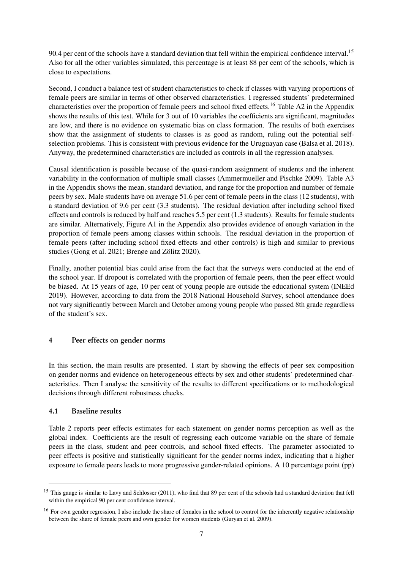90.4 per cent of the schools have a standard deviation that fell within the empirical confidence interval.<sup>[15](#page--1-0)</sup> Also for all the other variables simulated, this percentage is at least 88 per cent of the schools, which is close to expectations.

Second, I conduct a balance test of student characteristics to check if classes with varying proportions of female peers are similar in terms of other observed characteristics. I regressed students' predetermined characteristics over the proportion of female peers and school fixed effects.<sup>[16](#page--1-0)</sup> Table [A2](#page-16-1) in the Appendix shows the results of this test. While for 3 out of 10 variables the coefficients are significant, magnitudes are low, and there is no evidence on systematic bias on class formation. The results of both exercises show that the assignment of students to classes is as good as random, ruling out the potential selfselection problems. This is consistent with previous evidence for the Uruguayan case [\(Balsa et al.](#page-13-7) [2018\)](#page-13-7). Anyway, the predetermined characteristics are included as controls in all the regression analyses.

Causal identification is possible because of the quasi-random assignment of students and the inherent variability in the conformation of multiple small classes [\(Ammermueller and Pischke](#page-13-5) [2009\)](#page-13-5). Table [A3](#page-17-0) in the Appendix shows the mean, standard deviation, and range for the proportion and number of female peers by sex. Male students have on average 51.6 per cent of female peers in the class (12 students), with a standard deviation of 9.6 per cent (3.3 students). The residual deviation after including school fixed effects and controls is reduced by half and reaches 5.5 per cent (1.3 students). Results for female students are similar. Alternatively, Figure [A1](#page-17-1) in the Appendix also provides evidence of enough variation in the proportion of female peers among classes within schools. The residual deviation in the proportion of female peers (after including school fixed effects and other controls) is high and similar to previous studies [\(Gong et al.](#page-14-8) [2021;](#page-14-8) [Brenøe and Zölitz](#page-14-9) [2020\)](#page-14-9).

Finally, another potential bias could arise from the fact that the surveys were conducted at the end of the school year. If dropout is correlated with the proportion of female peers, then the peer effect would be biased. At 15 years of age, 10 per cent of young people are outside the educational system [\(INEEd](#page-14-21) [2019\)](#page-14-21). However, according to data from the 2018 National Household Survey, school attendance does not vary significantly between March and October among young people who passed 8th grade regardless of the student's sex.

## <span id="page-8-0"></span>4 Peer effects on gender norms

In this section, the main results are presented. I start by showing the effects of peer sex composition on gender norms and evidence on heterogeneous effects by sex and other students' predetermined characteristics. Then I analyse the sensitivity of the results to different specifications or to methodological decisions through different robustness checks.

## 4.1 Baseline results

Table [2](#page-9-0) reports peer effects estimates for each statement on gender norms perception as well as the global index. Coefficients are the result of regressing each outcome variable on the share of female peers in the class, student and peer controls, and school fixed effects. The parameter associated to peer effects is positive and statistically significant for the gender norms index, indicating that a higher exposure to female peers leads to more progressive gender-related opinions. A 10 percentage point (pp)

<sup>&</sup>lt;sup>15</sup> This gauge is similar to [Lavy and Schlosser](#page-14-7) [\(2011\)](#page-14-7), who find that 89 per cent of the schools had a standard deviation that fell within the empirical 90 per cent confidence interval.

<sup>&</sup>lt;sup>16</sup> For own gender regression, I also include the share of females in the school to control for the inherently negative relationship between the share of female peers and own gender for women students [\(Guryan et al.](#page-14-23) [2009\)](#page-14-23).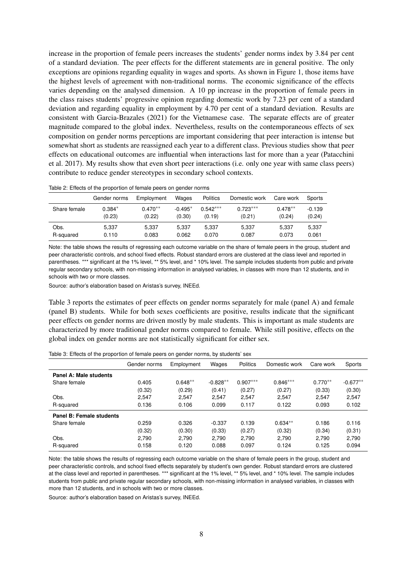increase in the proportion of female peers increases the students' gender norms index by 3.84 per cent of a standard deviation. The peer effects for the different statements are in general positive. The only exceptions are opinions regarding equality in wages and sports. As shown in Figure [1,](#page-6-1) those items have the highest levels of agreement with non-traditional norms. The economic significance of the effects varies depending on the analysed dimension. A 10 pp increase in the proportion of female peers in the class raises students' progressive opinion regarding domestic work by 7.23 per cent of a standard deviation and regarding equality in employment by 4.70 per cent of a standard deviation. Results are consistent with [Garcia-Brazales](#page-14-13) [\(2021\)](#page-14-13) for the Vietnamese case. The separate effects are of greater magnitude compared to the global index. Nevertheless, results on the contemporaneous effects of sex composition on gender norms perceptions are important considering that peer interaction is intense but somewhat short as students are reassigned each year to a different class. Previous studies show that peer effects on educational outcomes are influential when interactions last for more than a year [\(Patacchini](#page-14-24) [et al.](#page-14-24) [2017\)](#page-14-24). My results show that even short peer interactions (i.e. only one year with same class peers) contribute to reduce gender stereotypes in secondary school contexts.

|              | Gender norms | Employment | Wages     | <b>Politics</b> | Domestic work | Care work | Sports   |
|--------------|--------------|------------|-----------|-----------------|---------------|-----------|----------|
| Share female | $0.384*$     | $0.470**$  | $-0.495*$ | $0.542***$      | $0.723***$    | $0.478**$ | $-0.139$ |
|              | (0.23)       | (0.22)     | (0.30)    | (0.19)          | (0.21)        | (0.24)    | (0.24)   |
| Obs.         | 5.337        | 5.337      | 5.337     | 5.337           | 5.337         | 5.337     | 5,337    |
| R-squared    | 0.110        | 0.083      | 0.062     | 0.070           | 0.087         | 0.073     | 0.061    |

<span id="page-9-0"></span>Table 2: Effects of the proportion of female peers on gender norms

Note: the table shows the results of regressing each outcome variable on the share of female peers in the group, student and peer characteristic controls, and school fixed effects. Robust standard errors are clustered at the class level and reported in parentheses. \*\*\* significant at the 1% level, \*\* 5% level, and \* 10% level. The sample includes students from public and private regular secondary schools, with non-missing information in analysed variables, in classes with more than 12 students, and in schools with two or more classes.

Source: author's elaboration based on Aristas's survey, INEEd.

Table [3](#page-9-1) reports the estimates of peer effects on gender norms separately for male (panel A) and female (panel B) students. While for both sexes coefficients are positive, results indicate that the significant peer effects on gender norms are driven mostly by male students. This is important as male students are characterized by more traditional gender norms compared to female. While still positive, effects on the global index on gender norms are not statistically significant for either sex.

|                          | Gender norms | Employment | Wages      | Politics   | Domestic work | Care work | Sports     |
|--------------------------|--------------|------------|------------|------------|---------------|-----------|------------|
| Panel A: Male students   |              |            |            |            |               |           |            |
| Share female             | 0.405        | $0.648**$  | $-0.828**$ | $0.907***$ | $0.846***$    | $0.770**$ | $-0.677**$ |
|                          | (0.32)       | (0.29)     | (0.41)     | (0.27)     | (0.27)        | (0.33)    | (0.30)     |
| Obs.                     | 2.547        | 2.547      | 2.547      | 2.547      | 2.547         | 2.547     | 2,547      |
| R-squared                | 0.136        | 0.106      | 0.099      | 0.117      | 0.122         | 0.093     | 0.102      |
| Panel B: Female students |              |            |            |            |               |           |            |
| Share female             | 0.259        | 0.326      | $-0.337$   | 0.139      | $0.634**$     | 0.186     | 0.116      |
|                          | (0.32)       | (0.30)     | (0.33)     | (0.27)     | (0.32)        | (0.34)    | (0.31)     |
| Obs.                     | 2.790        | 2.790      | 2.790      | 2.790      | 2.790         | 2.790     | 2.790      |
| R-squared                | 0.158        | 0.120      | 0.088      | 0.097      | 0.124         | 0.125     | 0.094      |

<span id="page-9-1"></span>Table 3: Effects of the proportion of female peers on gender norms, by students' sex

Note: the table shows the results of regressing each outcome variable on the share of female peers in the group, student and peer characteristic controls, and school fixed effects separately by student's own gender. Robust standard errors are clustered at the class level and reported in parentheses. \*\*\* significant at the 1% level, \*\* 5% level, and \* 10% level. The sample includes students from public and private regular secondary schools, with non-missing information in analysed variables, in classes with more than 12 students, and in schools with two or more classes.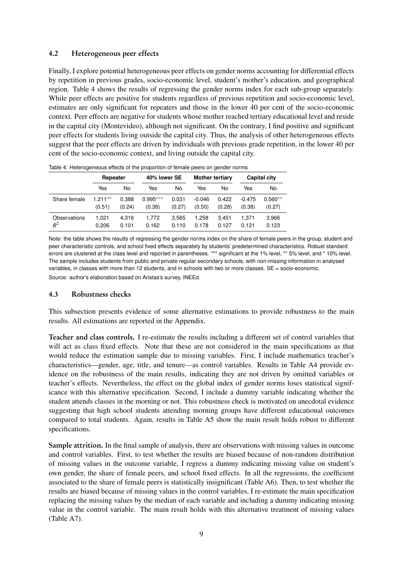### 4.2 Heterogeneous peer effects

Finally, I explore potential heterogeneous peer effects on gender norms accounting for differential effects by repetition in previous grades, socio-economic level, student's mother's education, and geographical region. Table [4](#page-10-0) shows the results of regressing the gender norms index for each sub-group separately. While peer effects are positive for students regardless of previous repetition and socio-economic level, estimates are only significant for repeaters and those in the lower 40 per cent of the socio-economic context. Peer effects are negative for students whose mother reached tertiary educational level and reside in the capital city (Montevideo), although not significant. On the contrary, I find positive and significant peer effects for students living outside the capital city. Thus, the analysis of other heterogeneous effects suggest that the peer effects are driven by individuals with previous grade repetition, in the lower 40 per cent of the socio-economic context, and living outside the capital city.

|              | Repeater   |        |            | 40% lower SE |          | <b>Mother tertiary</b> |          | <b>Capital city</b> |  |
|--------------|------------|--------|------------|--------------|----------|------------------------|----------|---------------------|--|
|              | Yes        | No     | Yes        | No           | Yes      | No                     | Yes      | No                  |  |
| Share female | $1.211***$ | 0.388  | $0.995***$ | 0.031        | $-0.046$ | 0.422                  | $-0.475$ | $0.560**$           |  |
|              | (0.51)     | (0.24) | (0.38)     | (0.27)       | (0.50)   | (0.28)                 | (0.38)   | (0.27)              |  |
| Observations | 1.021      | 4.316  | 1.772      | 3.565        | 1.258    | 3.451                  | 1.371    | 3,966               |  |
| $\,R^2$      | 0.206      | 0.101  | 0.162      | 0.110        | 0.178    | 0.127                  | 0.121    | 0.123               |  |

<span id="page-10-0"></span>Table 4: Heterogeneous effects of the proportion of female peers on gender norms

Note: the table shows the results of regressing the gender norms index on the share of female peers in the group, student and peer characteristic controls, and school fixed effects separately by students' predetermined characteristics. Robust standard errors are clustered at the class level and reported in parentheses. \*\*\* significant at the 1% level, \*\* 5% level, and \* 10% level. The sample includes students from public and private regular secondary schools, with non-missing information in analysed variables, in classes with more than 12 students, and in schools with two or more classes. SE = socio-economic. Source: author's elaboration based on Aristas's survey, INEEd.

### 4.3 Robustness checks

This subsection presents evidence of some alternative estimations to provide robustness to the main results. All estimations are reported in the Appendix.

Teacher and class controls. I re-estimate the results including a different set of control variables that will act as class fixed effects. Note that these are not considered in the main specifications as that would reduce the estimation sample due to missing variables. First, I include mathematics teacher's characteristics—gender, age, title, and tenure—as control variables. Results in Table [A4](#page-18-0) provide evidence on the robustness of the main results, indicating they are not driven by omitted variables or teacher's effects. Nevertheless, the effect on the global index of gender norms loses statistical significance with this alternative specification. Second, I include a dummy variable indicating whether the student attends classes in the morning or not. This robustness check is motivated on anecdotal evidence suggesting that high school students attending morning groups have different educational outcomes compared to total students. Again, results in Table [A5](#page-18-1) show the main result holds robust to different specifications.

Sample attrition. In the final sample of analysis, there are observations with missing values in outcome and control variables. First, to test whether the results are biased because of non-random distribution of missing values in the outcome variable, I regress a dummy indicating missing value on student's own gender, the share of female peers, and school fixed effects. In all the regressions, the coefficient associated to the share of female peers is statistically insignificant (Table [A6\)](#page-18-2). Then, to test whether the results are biased because of missing values in the control variables, I re-estimate the main specification replacing the missing values by the median of each variable and including a dummy indicating missing value in the control variable. The main result holds with this alternative treatment of missing values (Table [A7\)](#page-19-0).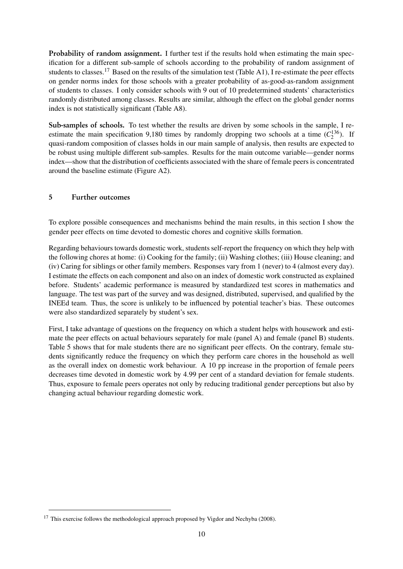Probability of random assignment. I further test if the results hold when estimating the main specification for a different sub-sample of schools according to the probability of random assignment of students to classes.<sup>[17](#page--1-0)</sup> Based on the results of the simulation test (Table [A1\)](#page-16-0), I re-estimate the peer effects on gender norms index for those schools with a greater probability of as-good-as-random assignment of students to classes. I only consider schools with 9 out of 10 predetermined students' characteristics randomly distributed among classes. Results are similar, although the effect on the global gender norms index is not statistically significant (Table [A8\)](#page-19-1).

Sub-samples of schools. To test whether the results are driven by some schools in the sample, I reestimate the main specification 9,180 times by randomly dropping two schools at a time  $(C_2^{136})$ . If quasi-random composition of classes holds in our main sample of analysis, then results are expected to be robust using multiple different sub-samples. Results for the main outcome variable—gender norms index—show that the distribution of coefficients associated with the share of female peers is concentrated around the baseline estimate (Figure [A2\)](#page-19-2).

## <span id="page-11-0"></span>5 Further outcomes

To explore possible consequences and mechanisms behind the main results, in this section I show the gender peer effects on time devoted to domestic chores and cognitive skills formation.

Regarding behaviours towards domestic work, students self-report the frequency on which they help with the following chores at home: (i) Cooking for the family; (ii) Washing clothes; (iii) House cleaning; and (iv) Caring for siblings or other family members. Responses vary from 1 (never) to 4 (almost every day). I estimate the effects on each component and also on an index of domestic work constructed as explained before. Students' academic performance is measured by standardized test scores in mathematics and language. The test was part of the survey and was designed, distributed, supervised, and qualified by the INEEd team. Thus, the score is unlikely to be influenced by potential teacher's bias. These outcomes were also standardized separately by student's sex.

First, I take advantage of questions on the frequency on which a student helps with housework and estimate the peer effects on actual behaviours separately for male (panel A) and female (panel B) students. Table [5](#page-12-1) shows that for male students there are no significant peer effects. On the contrary, female students significantly reduce the frequency on which they perform care chores in the household as well as the overall index on domestic work behaviour. A 10 pp increase in the proportion of female peers decreases time devoted in domestic work by 4.99 per cent of a standard deviation for female students. Thus, exposure to female peers operates not only by reducing traditional gender perceptions but also by changing actual behaviour regarding domestic work.

<sup>&</sup>lt;sup>17</sup> This exercise follows the methodological approach proposed by [Vigdor and Nechyba](#page-15-6) [\(2008\)](#page-15-6).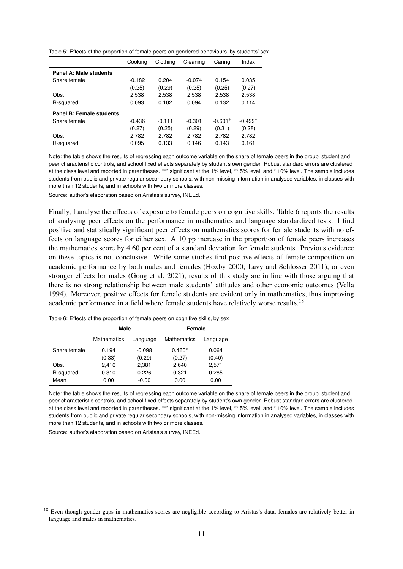<span id="page-12-1"></span>Table 5: Effects of the proportion of female peers on gendered behaviours, by students' sex

|                          | Cooking  | Clothing | Cleaning | Caring    | Index     |
|--------------------------|----------|----------|----------|-----------|-----------|
| Panel A: Male students   |          |          |          |           |           |
| Share female             | $-0.182$ | 0.204    | $-0.074$ | 0.154     | 0.035     |
|                          | (0.25)   | (0.29)   | (0.25)   | (0.25)    | (0.27)    |
| Obs.                     | 2,538    | 2,538    | 2,538    | 2,538     | 2,538     |
| R-squared                | 0.093    | 0.102    | 0.094    | 0.132     | 0.114     |
| Panel B: Female students |          |          |          |           |           |
| Share female             | $-0.436$ | $-0.111$ | $-0.301$ | $-0.601*$ | $-0.499*$ |
|                          | (0.27)   | (0.25)   | (0.29)   | (0.31)    | (0.28)    |
| Obs.                     | 2,782    | 2,782    | 2,782    | 2,782     | 2,782     |
| R-squared                | 0.095    | 0.133    | 0.146    | 0.143     | 0.161     |

Note: the table shows the results of regressing each outcome variable on the share of female peers in the group, student and peer characteristic controls, and school fixed effects separately by student's own gender. Robust standard errors are clustered at the class level and reported in parentheses. \*\*\* significant at the 1% level, \*\* 5% level, and \* 10% level. The sample includes students from public and private regular secondary schools, with non-missing information in analysed variables, in classes with more than 12 students, and in schools with two or more classes.

Source: author's elaboration based on Aristas's survey, INEEd.

Finally, I analyse the effects of exposure to female peers on cognitive skills. Table [6](#page-12-2) reports the results of analysing peer effects on the performance in mathematics and language standardized tests. I find positive and statistically significant peer effects on mathematics scores for female students with no effects on language scores for either sex. A 10 pp increase in the proportion of female peers increases the mathematics score by 4.60 per cent of a standard deviation for female students. Previous evidence on these topics is not conclusive. While some studies find positive effects of female composition on academic performance by both males and females [\(Hoxby](#page-14-6) [2000;](#page-14-6) [Lavy and Schlosser](#page-14-7) [2011\)](#page-14-7), or even stronger effects for males [\(Gong et al.](#page-14-8) [2021\)](#page-14-8), results of this study are in line with those arguing that there is no strong relationship between male students' attitudes and other economic outcomes [\(Vella](#page-15-4) [1994\)](#page-15-4). Moreover, positive effects for female students are evident only in mathematics, thus improving academic performance in a field where female students have relatively worse results.<sup>[18](#page--1-0)</sup>

|              | Male               |          | Female             |          |  |
|--------------|--------------------|----------|--------------------|----------|--|
|              | <b>Mathematics</b> | Language | <b>Mathematics</b> | Language |  |
| Share female | 0.194              | $-0.098$ | $0.460*$           | 0.064    |  |
|              | (0.33)             | (0.29)   | (0.27)             | (0.40)   |  |
| Obs.         | 2.416              | 2,381    | 2,640              | 2.571    |  |
| R-squared    | 0.310              | 0.226    | 0.321              | 0.285    |  |
| Mean         | 0.00               | $-0.00$  | 0.00               | 0.00     |  |

<span id="page-12-2"></span>Table 6: Effects of the proportion of female peers on cognitive skills, by sex

<span id="page-12-0"></span>Note: the table shows the results of regressing each outcome variable on the share of female peers in the group, student and peer characteristic controls, and school fixed effects separately by student's own gender. Robust standard errors are clustered at the class level and reported in parentheses. \*\*\* significant at the 1% level, \*\* 5% level, and \* 10% level. The sample includes students from public and private regular secondary schools, with non-missing information in analysed variables, in classes with more than 12 students, and in schools with two or more classes.

<sup>&</sup>lt;sup>18</sup> Even though gender gaps in mathematics scores are negligible according to Aristas's data, females are relatively better in language and males in mathematics.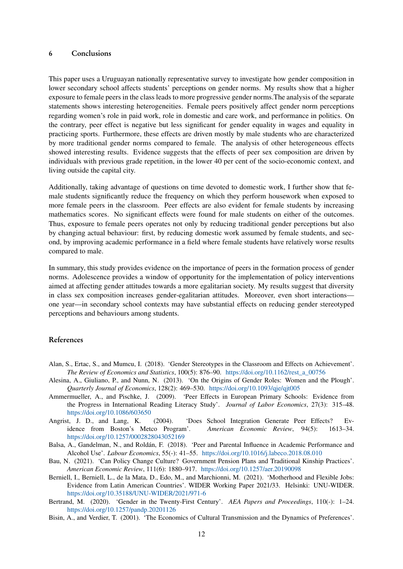### 6 Conclusions

This paper uses a Uruguayan nationally representative survey to investigate how gender composition in lower secondary school affects students' perceptions on gender norms. My results show that a higher exposure to female peers in the class leads to more progressive gender norms.The analysis of the separate statements shows interesting heterogeneities. Female peers positively affect gender norm perceptions regarding women's role in paid work, role in domestic and care work, and performance in politics. On the contrary, peer effect is negative but less significant for gender equality in wages and equality in practicing sports. Furthermore, these effects are driven mostly by male students who are characterized by more traditional gender norms compared to female. The analysis of other heterogeneous effects showed interesting results. Evidence suggests that the effects of peer sex composition are driven by individuals with previous grade repetition, in the lower 40 per cent of the socio-economic context, and living outside the capital city.

Additionally, taking advantage of questions on time devoted to domestic work, I further show that female students significantly reduce the frequency on which they perform housework when exposed to more female peers in the classroom. Peer effects are also evident for female students by increasing mathematics scores. No significant effects were found for male students on either of the outcomes. Thus, exposure to female peers operates not only by reducing traditional gender perceptions but also by changing actual behaviour: first, by reducing domestic work assumed by female students, and second, by improving academic performance in a field where female students have relatively worse results compared to male.

In summary, this study provides evidence on the importance of peers in the formation process of gender norms. Adolescence provides a window of opportunity for the implementation of policy interventions aimed at affecting gender attitudes towards a more egalitarian society. My results suggest that diversity in class sex composition increases gender-egalitarian attitudes. Moreover, even short interactions one year—in secondary school contexts may have substantial effects on reducing gender stereotyped perceptions and behaviours among students.

#### References

- <span id="page-13-3"></span>Alan, S., Ertac, S., and Mumcu, I. (2018). 'Gender Stereotypes in the Classroom and Effects on Achievement'. *The Review of Economics and Statistics*, 100(5): 876–90. [https://doi.org/10.1162/rest\\_a\\_00756](https://doi.org/10.1162/rest_a_00756)
- <span id="page-13-0"></span>Alesina, A., Giuliano, P., and Nunn, N. (2013). 'On the Origins of Gender Roles: Women and the Plough'. *Quarterly Journal of Economics*, 128(2): 469–530. <https://doi.org/10.1093/qje/qjt005>
- <span id="page-13-5"></span>Ammermueller, A., and Pischke, J. (2009). 'Peer Effects in European Primary Schools: Evidence from the Progress in International Reading Literacy Study'. *Journal of Labor Economics*, 27(3): 315–48. <https://doi.org/10.1086/603650>
- <span id="page-13-4"></span>Angrist, J. D., and Lang, K. (2004). 'Does School Integration Generate Peer Effects? Evidence from Boston's Metco Program'. *American Economic Review*, 94(5): 1613–34. <https://doi.org/10.1257/0002828043052169>
- <span id="page-13-7"></span>Balsa, A., Gandelman, N., and Roldán, F. (2018). 'Peer and Parental Influence in Academic Performance and Alcohol Use'. *Labour Economics*, 55(-): 41–55. <https://doi.org/10.1016/j.labeco.2018.08.010>
- <span id="page-13-6"></span>Bau, N. (2021). 'Can Policy Change Culture? Government Pension Plans and Traditional Kinship Practices'. *American Economic Review*, 111(6): 1880–917. <https://doi.org/10.1257/aer.20190098>
- <span id="page-13-8"></span>Berniell, I., Berniell, L., de la Mata, D., Edo, M., and Marchionni, M. (2021). 'Motherhood and Flexible Jobs: Evidence from Latin American Countries'. WIDER Working Paper 2021/33. Helsinki: UNU-WIDER. <https://doi.org/10.35188/UNU-WIDER/2021/971-6>
- <span id="page-13-1"></span>Bertrand, M. (2020). 'Gender in the Twenty-First Century'. *AEA Papers and Proceedings*, 110(-): 1–24. <https://doi.org/10.1257/pandp.20201126>
- <span id="page-13-2"></span>Bisin, A., and Verdier, T. (2001). 'The Economics of Cultural Transmission and the Dynamics of Preferences'.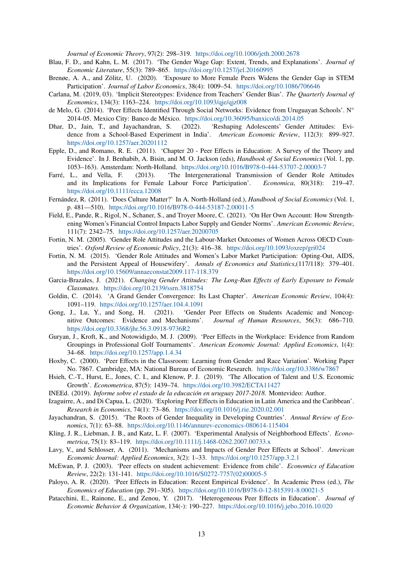*Journal of Economic Theory*, 97(2): 298–319. <https://doi.org/10.1006/jeth.2000.2678>

- <span id="page-14-2"></span>Blau, F. D., and Kahn, L. M. (2017). 'The Gender Wage Gap: Extent, Trends, and Explanations'. *Journal of Economic Literature*, 55(3): 789–865. <https://doi.org/10.1257/jel.20160995>
- <span id="page-14-9"></span>Brenøe, A. A., and Zölitz, U. (2020). 'Exposure to More Female Peers Widens the Gender Gap in STEM Participation'. *Journal of Labor Economics*, 38(4): 1009–54. <https://doi.org/10.1086/706646>
- <span id="page-14-3"></span>Carlana, M. (2019, 03). 'Implicit Stereotypes: Evidence from Teachers' Gender Bias'. *The Quarterly Journal of Economics*, 134(3): 1163–224. <https://doi.org/10.1093/qje/qjz008>
- <span id="page-14-20"></span>de Melo, G. (2014). 'Peer Effects Identified Through Social Networks: Evidence from Uruguayan Schools'. N° 2014-05. Mexico City: Banco de México. <https://doi.org/10.36095/banxico/di.2014.05>
- <span id="page-14-17"></span>Dhar, D., Jain, T., and Jayachandran, S. (2022). 'Reshaping Adolescents' Gender Attitudes: Evidence from a School-Based Experiment in India'. *American Economic Review*, 112(3): 899–927. <https://doi.org/10.1257/aer.20201112>
- <span id="page-14-4"></span>Epple, D., and Romano, R. E. (2011). 'Chapter 20 - Peer Effects in Education: A Survey of the Theory and Evidence'. In J. Benhabib, A. Bisin, and M. O. Jackson (eds), *Handbook of Social Economics* (Vol. 1, pp. 1053–163). Amsterdam: North-Holland. <https://doi.org/10.1016/B978-0-444-53707-2.00003-7>
- <span id="page-14-12"></span>Farré, L., and Vella, F. (2013). 'The Intergenerational Transmission of Gender Role Attitudes and its Implications for Female Labour Force Participation'. *Economica*, 80(318): 219–47. <https://doi.org/10.1111/ecca.12008>
- <span id="page-14-11"></span>Fernández, R. (2011). 'Does Culture Matter?' In A. North-Holland (ed.), *Handbook of Social Economics* (Vol. 1, p. 481—510). <https://doi.org/10.1016/B978-0-444-53187-2.00011-5>
- <span id="page-14-16"></span>Field, E., Pande, R., Rigol, N., Schaner, S., and Troyer Moore, C. (2021). 'On Her Own Account: How Strengthening Women's Financial Control Impacts Labor Supply and Gender Norms'. *American Economic Review*, 111(7): 2342–75. <https://doi.org/10.1257/aer.20200705>
- <span id="page-14-0"></span>Fortin, N. M. (2005). 'Gender Role Attitudes and the Labour-Market Outcomes of Women Across OECD Countries'. *Oxford Review of Economic Policy*, 21(3): 416–38. <https://doi.org/10.1093/oxrep/gri024>
- <span id="page-14-10"></span>Fortin, N. M. (2015). 'Gender Role Attitudes and Women's Labor Market Participation: Opting-Out, AIDS, and the Persistent Appeal of Housewifery'. *Annals of Economics and Statistics*,(117/118): 379–401. <https://doi.org/10.15609/annaeconstat2009.117-118.379>
- <span id="page-14-13"></span>Garcia-Brazales, J. (2021). *Changing Gender Attitudes: The Long-Run Effects of Early Exposure to Female Classmates.* <https://doi.org/10.2139/ssrn.3818754>
- <span id="page-14-1"></span>Goldin, C. (2014). 'A Grand Gender Convergence: Its Last Chapter'. *American Economic Review*, 104(4): 1091–119. <https://doi.org/10.1257/aer.104.4.1091>
- <span id="page-14-8"></span>Gong, J., Lu, Y., and Song, H. (2021). 'Gender Peer Effects on Students Academic and Noncognitive Outcomes: Evidence and Mechanisms'. *Journal of Human Resources*, 56(3): 686–710. <https://doi.org/10.3368/jhr.56.3.0918-9736R2>
- <span id="page-14-23"></span>Guryan, J., Kroft, K., and Notowidigdo, M. J. (2009). 'Peer Effects in the Workplace: Evidence from Random Groupings in Professional Golf Tournaments'. *American Economic Journal: Applied Economics*, 1(4): 34–68. <https://doi.org/10.1257/app.1.4.34>
- <span id="page-14-6"></span>Hoxby, C. (2000). 'Peer Effects in the Classroom: Learning from Gender and Race Variation'. Working Paper No. 7867. Cambridge, MA: National Bureau of Economic Research. <https://doi.org/10.3386/w7867>
- <span id="page-14-15"></span>Hsieh, C.-T., Hurst, E., Jones, C. I., and Klenow, P. J. (2019). 'The Allocation of Talent and U.S. Economic Growth'. *Econometrica*, 87(5): 1439–74. <https://doi.org/10.3982/ECTA11427>
- <span id="page-14-21"></span>INEEd. (2019). *Informe sobre el estado de la educación en uruguay 2017-2018*. Montevideo: Author.
- <span id="page-14-18"></span>Izaguirre, A., and Di Capua, L. (2020). 'Exploring Peer Effects in Education in Latin America and the Caribbean'. *Research in Economics*, 74(1): 73–86. <https://doi.org/10.1016/j.rie.2020.02.001>
- <span id="page-14-14"></span>Jayachandran, S. (2015). 'The Roots of Gender Inequality in Developing Countries'. *Annual Review of Economics*, 7(1): 63–88. <https://doi.org/10.1146/annurev-economics-080614-115404>
- <span id="page-14-22"></span>Kling, J. R., Liebman, J. B., and Katz, L. F. (2007). 'Experimental Analysis of Neighborhood Effects'. *Econometrica*, 75(1): 83–119. <https://doi.org/10.1111/j.1468-0262.2007.00733.x>
- <span id="page-14-7"></span>Lavy, V., and Schlosser, A. (2011). 'Mechanisms and Impacts of Gender Peer Effects at School'. *American Economic Journal: Applied Economics*, 3(2): 1–33. <https://doi.org/10.1257/app.3.2.1>
- <span id="page-14-19"></span>McEwan, P. J. (2003). 'Peer effects on student achievement: Evidence from chile'. *Economics of Education Review*, 22(2): 131-141. [https://doi.org/10.1016/S0272-7757\(02\)00005-5](https://doi.org/10.1016/S0272-7757(02)00005-5)
- <span id="page-14-5"></span>Paloyo, A. R. (2020). 'Peer Effects in Education: Recent Empirical Evidence'. In Academic Press (ed.), *The Economics of Education* (pp. 291–305). <https://doi.org/10.1016/B978-0-12-815391-8.00021-5>
- <span id="page-14-24"></span>Patacchini, E., Rainone, E., and Zenou, Y. (2017). 'Heterogeneous Peer Effects in Education'. *Journal of Economic Behavior & Organization*, 134(-): 190–227. <https://doi.org/10.1016/j.jebo.2016.10.020>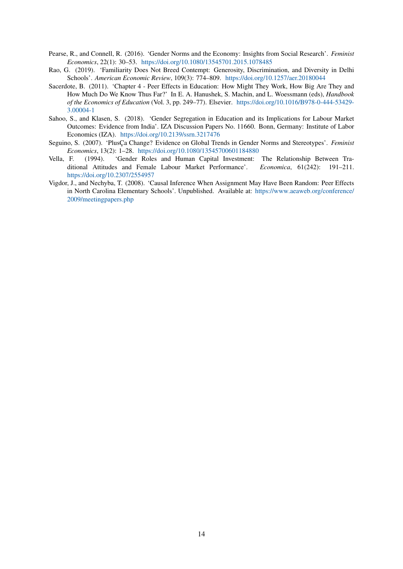- <span id="page-15-1"></span>Pearse, R., and Connell, R. (2016). 'Gender Norms and the Economy: Insights from Social Research'. *Feminist Economics*, 22(1): 30–53. <https://doi.org/10.1080/13545701.2015.1078485>
- <span id="page-15-2"></span>Rao, G. (2019). 'Familiarity Does Not Breed Contempt: Generosity, Discrimination, and Diversity in Delhi Schools'. *American Economic Review*, 109(3): 774–809. <https://doi.org/10.1257/aer.20180044>
- <span id="page-15-3"></span>Sacerdote, B. (2011). 'Chapter 4 - Peer Effects in Education: How Might They Work, How Big Are They and How Much Do We Know Thus Far?' In E. A. Hanushek, S. Machin, and L. Woessmann (eds), *Handbook of the Economics of Education* (Vol. 3, pp. 249–77). Elsevier. [https://doi.org/10.1016/B978-0-444-53429-](https://doi.org/10.1016/B978-0-444-53429-3.00004-1) [3.00004-1](https://doi.org/10.1016/B978-0-444-53429-3.00004-1)
- <span id="page-15-5"></span>Sahoo, S., and Klasen, S. (2018). 'Gender Segregation in Education and its Implications for Labour Market Outcomes: Evidence from India'. IZA Discussion Papers No. 11660. Bonn, Germany: Institute of Labor Economics (IZA). <https://doi.org/10.2139/ssrn.3217476>
- <span id="page-15-0"></span>Seguino, S. (2007). 'PlusÇa Change? Evidence on Global Trends in Gender Norms and Stereotypes'. *Feminist Economics*, 13(2): 1–28. <https://doi.org/10.1080/13545700601184880>
- <span id="page-15-4"></span>Vella, F. (1994). 'Gender Roles and Human Capital Investment: The Relationship Between Traditional Attitudes and Female Labour Market Performance'. *Economica*, 61(242): 191–211. <https://doi.org/10.2307/2554957>
- <span id="page-15-6"></span>Vigdor, J., and Nechyba, T. (2008). 'Causal Inference When Assignment May Have Been Random: Peer Effects in North Carolina Elementary Schools'. Unpublished. Available at: [https://www.aeaweb.org/conference/](https://www.aeaweb.org/conference/2009/meetingpapers.php) [2009/meetingpapers.php](https://www.aeaweb.org/conference/2009/meetingpapers.php)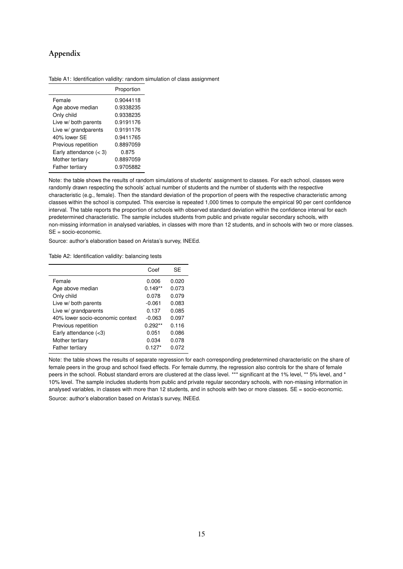## Appendix

<span id="page-16-0"></span>Table A1: Identification validity: random simulation of class assignment

|                          | Proportion |
|--------------------------|------------|
| Female                   | 0.9044118  |
| Age above median         | 0.9338235  |
| Only child               | 0.9338235  |
| Live w/ both parents     | 0.9191176  |
| Live w/ grandparents     | 0.9191176  |
| 40% lower SF             | 0.9411765  |
| Previous repetition      | 0.8897059  |
| Early attendance $(< 3)$ | 0.875      |
| Mother tertiary          | 0.8897059  |
| Father tertiary          | 0.9705882  |

Note: the table shows the results of random simulations of students' assignment to classes. For each school, classes were randomly drawn respecting the schools' actual number of students and the number of students with the respective characteristic (e.g., female). Then the standard deviation of the proportion of peers with the respective characteristic among classes within the school is computed. This exercise is repeated 1,000 times to compute the empirical 90 per cent confidence interval. The table reports the proportion of schools with observed standard deviation within the confidence interval for each predetermined characteristic. The sample includes students from public and private regular secondary schools, with non-missing information in analysed variables, in classes with more than 12 students, and in schools with two or more classes. SE = socio-economic.

Source: author's elaboration based on Aristas's survey, INEEd.

<span id="page-16-1"></span>Table A2: Identification validity: balancing tests

|                                  | Coef      | SE    |
|----------------------------------|-----------|-------|
| Female                           | 0.006     | 0.020 |
| Age above median                 | $0.149**$ | 0.073 |
| Only child                       | 0.078     | 0.079 |
| Live w/ both parents             | $-0.061$  | 0.083 |
| Live w/ grandparents             | 0.137     | 0.085 |
| 40% lower socio-economic context | $-0.063$  | 0.097 |
| Previous repetition              | $0.292**$ | 0.116 |
| Early attendance $(<3)$          | 0.051     | 0.086 |
| Mother tertiary                  | 0.034     | 0.078 |
| Father tertiary                  | $0.127*$  | 0.072 |

Note: the table shows the results of separate regression for each corresponding predetermined characteristic on the share of female peers in the group and school fixed effects. For female dummy, the regression also controls for the share of female peers in the school. Robust standard errors are clustered at the class level. \*\*\* significant at the 1% level, \*\* 5% level, and \* 10% level. The sample includes students from public and private regular secondary schools, with non-missing information in analysed variables, in classes with more than 12 students, and in schools with two or more classes.  $SE =$  socio-economic.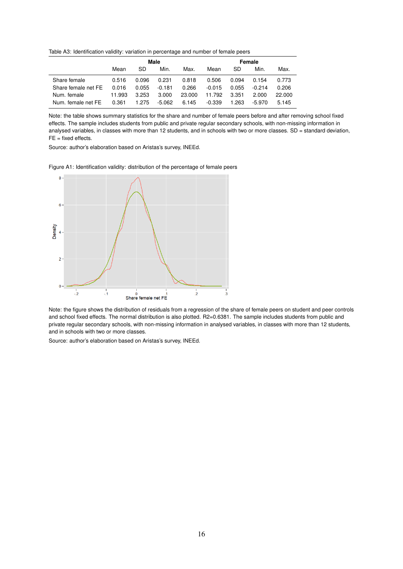<span id="page-17-0"></span>Table A3: Identification validity: variation in percentage and number of female peers

|                     |        | Male  |          |        |          | Female |          |        |  |
|---------------------|--------|-------|----------|--------|----------|--------|----------|--------|--|
|                     | Mean   | SD    | Min.     | Max.   | Mean     | SD     | Min.     | Max.   |  |
| Share female        | 0.516  | 0.096 | 0.231    | 0.818  | 0.506    | 0.094  | 0.154    | 0.773  |  |
| Share female net FE | 0.016  | 0.055 | $-0.181$ | 0.266  | $-0.015$ | 0.055  | $-0.214$ | 0.206  |  |
| Num. female         | 11.993 | 3.253 | 3.000    | 23,000 | 11.792   | 3.351  | 2.000    | 22,000 |  |
| Num. female net FE  | 0.361  | 1.275 | $-5.062$ | 6.145  | $-0.339$ | 1.263  | -5.970   | 5.145  |  |

Note: the table shows summary statistics for the share and number of female peers before and after removing school fixed effects. The sample includes students from public and private regular secondary schools, with non-missing information in analysed variables, in classes with more than 12 students, and in schools with two or more classes. SD = standard deviation,  $FE = fixed$  effects.

Source: author's elaboration based on Aristas's survey, INEEd.

<span id="page-17-1"></span>Figure A1: Identification validity: distribution of the percentage of female peers



Note: the figure shows the distribution of residuals from a regression of the share of female peers on student and peer controls and school fixed effects. The normal distribution is also plotted. R2=0.6381. The sample includes students from public and private regular secondary schools, with non-missing information in analysed variables, in classes with more than 12 students, and in schools with two or more classes.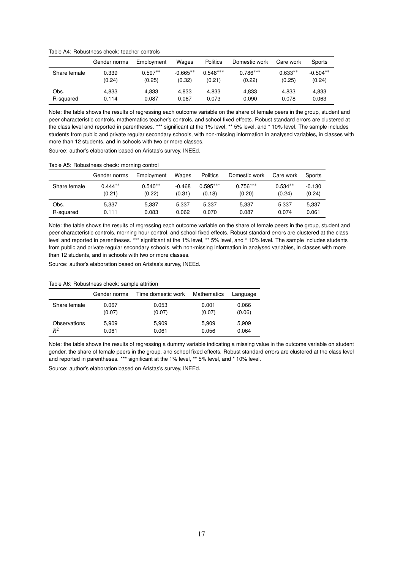<span id="page-18-0"></span>Table A4: Robustness check: teacher controls

|              | Gender norms | Employment | Wages      | <b>Politics</b> | Domestic work | Care work | Sports     |
|--------------|--------------|------------|------------|-----------------|---------------|-----------|------------|
| Share female | 0.339        | $0.597**$  | $-0.665**$ | $0.548***$      | $0.786***$    | $0.633**$ | $-0.504**$ |
|              | (0.24)       | (0.25)     | (0.32)     | (0.21)          | (0.22)        | (0.25)    | (0.24)     |
| Obs.         | 4.833        | 4.833      | 4.833      | 4.833           | 4.833         | 4.833     | 4,833      |
| R-squared    | 0.114        | 0.087      | 0.067      | 0.073           | 0.090         | 0.078     | 0.063      |

Note: the table shows the results of regressing each outcome variable on the share of female peers in the group, student and peer characteristic controls, mathematics teacher's controls, and school fixed effects. Robust standard errors are clustered at the class level and reported in parentheses. \*\*\* significant at the 1% level, \*\* 5% level, and \* 10% level. The sample includes students from public and private regular secondary schools, with non-missing information in analysed variables, in classes with more than 12 students, and in schools with two or more classes.

Source: author's elaboration based on Aristas's survey, INEEd.

<span id="page-18-1"></span>Table A5: Robustness check: morning control

|              | Gender norms | Employment | Wages    | <b>Politics</b> | Domestic work | Care work | Sports   |
|--------------|--------------|------------|----------|-----------------|---------------|-----------|----------|
| Share female | $0.444**$    | $0.540**$  | $-0.468$ | $0.595***$      | $0.756***$    | $0.534**$ | $-0.130$ |
|              | (0.21)       | (0.22)     | (0.31)   | (0.18)          | (0.20)        | (0.24)    | (0.24)   |
| Obs.         | 5.337        | 5.337      | 5.337    | 5.337           | 5.337         | 5.337     | 5,337    |
| R-squared    | 0.111        | 0.083      | 0.062    | 0.070           | 0.087         | 0.074     | 0.061    |

Note: the table shows the results of regressing each outcome variable on the share of female peers in the group, student and peer characteristic controls, morning hour control, and school fixed effects. Robust standard errors are clustered at the class level and reported in parentheses. \*\*\* significant at the 1% level, \*\* 5% level, and \* 10% level. The sample includes students from public and private regular secondary schools, with non-missing information in analysed variables, in classes with more than 12 students, and in schools with two or more classes.

Source: author's elaboration based on Aristas's survey, INEEd.

#### <span id="page-18-2"></span>Table A6: Robustness check: sample attrition

|              | Gender norms | Time domestic work | Mathematics | Language |
|--------------|--------------|--------------------|-------------|----------|
| Share female | 0.067        | 0.053              | 0.001       | 0.066    |
|              | (0.07)       | (0.07)             | (0.07)      | (0.06)   |
| Observations | 5,909        | 5,909              | 5.909       | 5,909    |
| $R^2$        | 0.061        | 0.061              | 0.056       | 0.064    |

Note: the table shows the results of regressing a dummy variable indicating a missing value in the outcome variable on student gender, the share of female peers in the group, and school fixed effects. Robust standard errors are clustered at the class level and reported in parentheses. \*\*\* significant at the 1% level, \*\* 5% level, and \* 10% level.